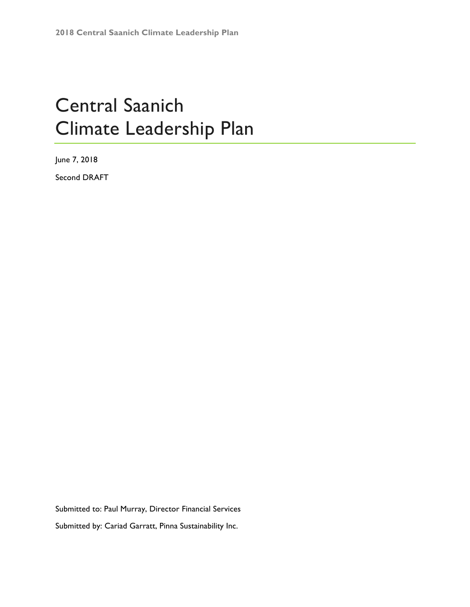# Central Saanich Climate Leadership Plan

June 7, 2018 Second DRAFT

Submitted to: Paul Murray, Director Financial Services Submitted by: Cariad Garratt, Pinna Sustainability Inc.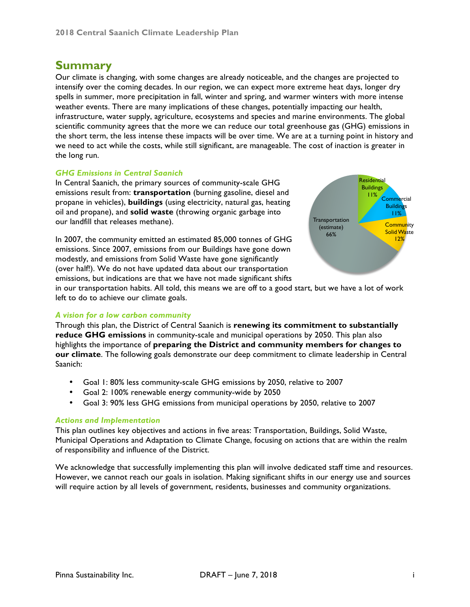# **Summary**

Our climate is changing, with some changes are already noticeable, and the changes are projected to intensify over the coming decades. In our region, we can expect more extreme heat days, longer dry spells in summer, more precipitation in fall, winter and spring, and warmer winters with more intense weather events. There are many implications of these changes, potentially impacting our health, infrastructure, water supply, agriculture, ecosystems and species and marine environments. The global scientific community agrees that the more we can reduce our total greenhouse gas (GHG) emissions in the short term, the less intense these impacts will be over time. We are at a turning point in history and we need to act while the costs, while still significant, are manageable. The cost of inaction is greater in the long run.

#### *GHG Emissions in Central Saanich*

In Central Saanich, the primary sources of community-scale GHG emissions result from: **transportation** (burning gasoline, diesel and propane in vehicles), **buildings** (using electricity, natural gas, heating oil and propane), and **solid waste** (throwing organic garbage into our landfill that releases methane).

In 2007, the community emitted an estimated 85,000 tonnes of GHG emissions. Since 2007, emissions from our Buildings have gone down modestly, and emissions from Solid Waste have gone significantly (over half!). We do not have updated data about our transportation emissions, but indications are that we have not made significant shifts



in our transportation habits. All told, this means we are off to a good start, but we have a lot of work left to do to achieve our climate goals.

#### *A vision for a low carbon community*

Through this plan, the District of Central Saanich is **renewing its commitment to substantially reduce GHG emissions** in community-scale and municipal operations by 2050. This plan also highlights the importance of **preparing the District and community members for changes to our climate**. The following goals demonstrate our deep commitment to climate leadership in Central Saanich:

- Goal 1: 80% less community-scale GHG emissions by 2050, relative to 2007
- Goal 2: 100% renewable energy community-wide by 2050
- Goal 3: 90% less GHG emissions from municipal operations by 2050, relative to 2007

#### *Actions and Implementation*

This plan outlines key objectives and actions in five areas: Transportation, Buildings, Solid Waste, Municipal Operations and Adaptation to Climate Change, focusing on actions that are within the realm of responsibility and influence of the District.

We acknowledge that successfully implementing this plan will involve dedicated staff time and resources. However, we cannot reach our goals in isolation. Making significant shifts in our energy use and sources will require action by all levels of government, residents, businesses and community organizations.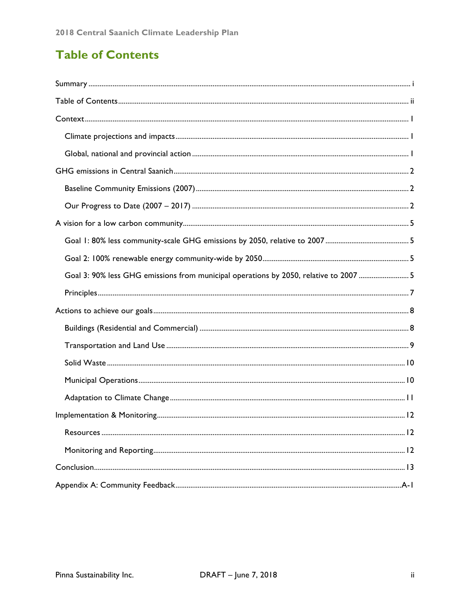# **Table of Contents**

| Goal 3: 90% less GHG emissions from municipal operations by 2050, relative to 2007 5 |  |
|--------------------------------------------------------------------------------------|--|
|                                                                                      |  |
|                                                                                      |  |
|                                                                                      |  |
|                                                                                      |  |
|                                                                                      |  |
|                                                                                      |  |
|                                                                                      |  |
|                                                                                      |  |
|                                                                                      |  |
|                                                                                      |  |
|                                                                                      |  |
|                                                                                      |  |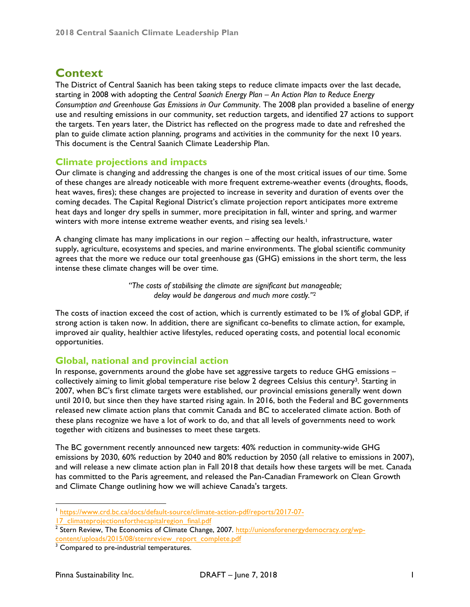# **Context**

The District of Central Saanich has been taking steps to reduce climate impacts over the last decade, starting in 2008 with adopting the *Central Saanich Energy Plan – An Action Plan to Reduce Energy Consumption and Greenhouse Gas Emissions in Our Community*. The 2008 plan provided a baseline of energy use and resulting emissions in our community, set reduction targets, and identified 27 actions to support the targets. Ten years later, the District has reflected on the progress made to date and refreshed the plan to guide climate action planning, programs and activities in the community for the next 10 years. This document is the Central Saanich Climate Leadership Plan.

### **Climate projections and impacts**

Our climate is changing and addressing the changes is one of the most critical issues of our time. Some of these changes are already noticeable with more frequent extreme-weather events (droughts, floods, heat waves, fires); these changes are projected to increase in severity and duration of events over the coming decades. The Capital Regional District's climate projection report anticipates more extreme heat days and longer dry spells in summer, more precipitation in fall, winter and spring, and warmer winters with more intense extreme weather events, and rising sea levels.<sup>1</sup>

A changing climate has many implications in our region – affecting our health, infrastructure, water supply, agriculture, ecosystems and species, and marine environments. The global scientific community agrees that the more we reduce our total greenhouse gas (GHG) emissions in the short term, the less intense these climate changes will be over time.

> *"The costs of stabilising the climate are significant but manageable; delay would be dangerous and much more costly."2*

The costs of inaction exceed the cost of action, which is currently estimated to be 1% of global GDP, if strong action is taken now. In addition, there are significant co-benefits to climate action, for example, improved air quality, healthier active lifestyles, reduced operating costs, and potential local economic opportunities.

# **Global, national and provincial action**

In response, governments around the globe have set aggressive targets to reduce GHG emissions – collectively aiming to limit global temperature rise below 2 degrees Celsius this century<sup>3</sup>. Starting in 2007, when BC's first climate targets were established, our provincial emissions generally went down until 2010, but since then they have started rising again. In 2016, both the Federal and BC governments released new climate action plans that commit Canada and BC to accelerated climate action. Both of these plans recognize we have a lot of work to do, and that all levels of governments need to work together with citizens and businesses to meet these targets.

The BC government recently announced new targets: 40% reduction in community-wide GHG emissions by 2030, 60% reduction by 2040 and 80% reduction by 2050 (all relative to emissions in 2007), and will release a new climate action plan in Fall 2018 that details how these targets will be met. Canada has committed to the Paris agreement, and released the Pan-Canadian Framework on Clean Growth and Climate Change outlining how we will achieve Canada's targets.

 <sup>1</sup> https://www.crd.bc.ca/docs/default-source/climate-action-pdf/reports/2017-07-

<sup>17</sup>\_climateprojectionsforthecapitalregion\_final.pdf

<sup>&</sup>lt;sup>2</sup> Stern Review, The Economics of Climate Change, 2007. http://unionsforenergydemocracy.org/wpcontent/uploads/2015/08/sternreview\_report\_complete.pdf

<sup>&</sup>lt;sup>3</sup> Compared to pre-industrial temperatures.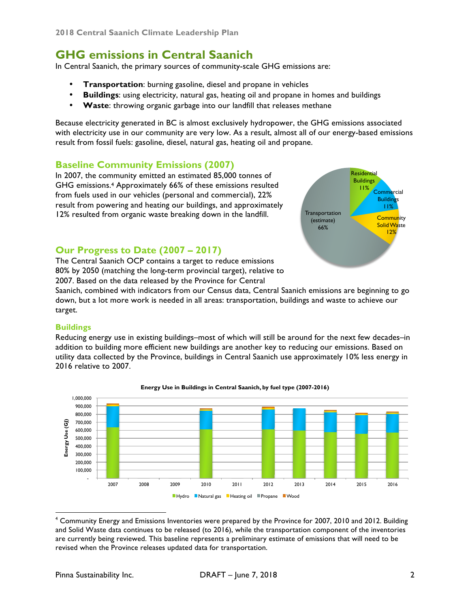**2018 Central Saanich Climate Leadership Plan**

# **GHG emissions in Central Saanich**

In Central Saanich, the primary sources of community-scale GHG emissions are:

- **Transportation**: burning gasoline, diesel and propane in vehicles
- **Buildings**: using electricity, natural gas, heating oil and propane in homes and buildings
- **Waste**: throwing organic garbage into our landfill that releases methane

Because electricity generated in BC is almost exclusively hydropower, the GHG emissions associated with electricity use in our community are very low. As a result, almost all of our energy-based emissions result from fossil fuels: gasoline, diesel, natural gas, heating oil and propane.

### **Baseline Community Emissions (2007)**

In 2007, the community emitted an estimated 85,000 tonnes of GHG emissions.4 Approximately 66% of these emissions resulted from fuels used in our vehicles (personal and commercial), 22% result from powering and heating our buildings, and approximately 12% resulted from organic waste breaking down in the landfill.



### **Our Progress to Date (2007 – 2017)**

The Central Saanich OCP contains a target to reduce emissions 80% by 2050 (matching the long-term provincial target), relative to 2007. Based on the data released by the Province for Central

Saanich, combined with indicators from our Census data, Central Saanich emissions are beginning to go down, but a lot more work is needed in all areas: transportation, buildings and waste to achieve our target.

#### **Buildings**

Reducing energy use in existing buildings–most of which will still be around for the next few decades–in addition to building more efficient new buildings are another key to reducing our emissions. Based on utility data collected by the Province, buildings in Central Saanich use approximately 10% less energy in 2016 relative to 2007.



#### **Energy Use in Buildings in Central Saanich, by fuel type (2007-2016)**

<sup>&</sup>lt;sup>4</sup> Community Energy and Emissions Inventories were prepared by the Province for 2007, 2010 and 2012. Building and Solid Waste data continues to be released (to 2016), while the transportation component of the inventories are currently being reviewed. This baseline represents a preliminary estimate of emissions that will need to be revised when the Province releases updated data for transportation.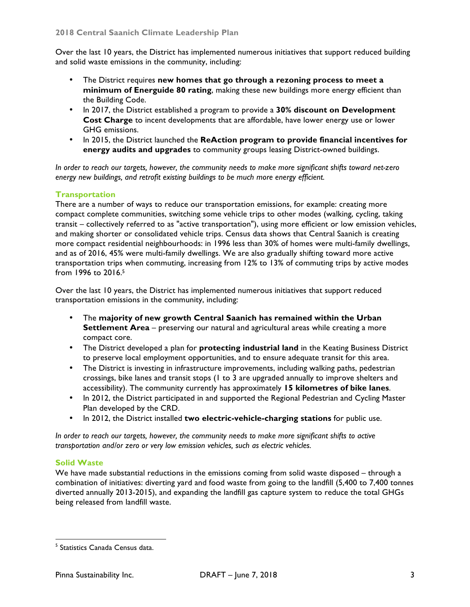Over the last 10 years, the District has implemented numerous initiatives that support reduced building and solid waste emissions in the community, including:

- The District requires **new homes that go through a rezoning process to meet a minimum of Energuide 80 rating**, making these new buildings more energy efficient than the Building Code.
- In 2017, the District established a program to provide a **30% discount on Development Cost Charge** to incent developments that are affordable, have lower energy use or lower GHG emissions.
- In 2015, the District launched the **ReAction program to provide financial incentives for energy audits and upgrades** to community groups leasing District-owned buildings.

*In order to reach our targets, however, the community needs to make more significant shifts toward net-zero energy new buildings, and retrofit existing buildings to be much more energy efficient.*

### **Transportation**

There are a number of ways to reduce our transportation emissions, for example: creating more compact complete communities, switching some vehicle trips to other modes (walking, cycling, taking transit – collectively referred to as "active transportation"), using more efficient or low emission vehicles, and making shorter or consolidated vehicle trips. Census data shows that Central Saanich is creating more compact residential neighbourhoods: in 1996 less than 30% of homes were multi-family dwellings, and as of 2016, 45% were multi-family dwellings. We are also gradually shifting toward more active transportation trips when commuting, increasing from 12% to 13% of commuting trips by active modes from 1996 to 2016.5

Over the last 10 years, the District has implemented numerous initiatives that support reduced transportation emissions in the community, including:

- The **majority of new growth Central Saanich has remained within the Urban Settlement Area** – preserving our natural and agricultural areas while creating a more compact core.
- The District developed a plan for **protecting industrial land** in the Keating Business District to preserve local employment opportunities, and to ensure adequate transit for this area.
- The District is investing in infrastructure improvements, including walking paths, pedestrian crossings, bike lanes and transit stops (1 to 3 are upgraded annually to improve shelters and accessibility). The community currently has approximately **15 kilometres of bike lanes**.
- In 2012, the District participated in and supported the Regional Pedestrian and Cycling Master Plan developed by the CRD.
- In 2012, the District installed **two electric-vehicle-charging stations** for public use.

*In order to reach our targets, however, the community needs to make more significant shifts to active transportation and/or zero or very low emission vehicles, such as electric vehicles.*

#### **Solid Waste**

We have made substantial reductions in the emissions coming from solid waste disposed – through a combination of initiatives: diverting yard and food waste from going to the landfill (5,400 to 7,400 tonnes diverted annually 2013-2015), and expanding the landfill gas capture system to reduce the total GHGs being released from landfill waste.

<sup>&</sup>lt;sup>5</sup> Statistics Canada Census data.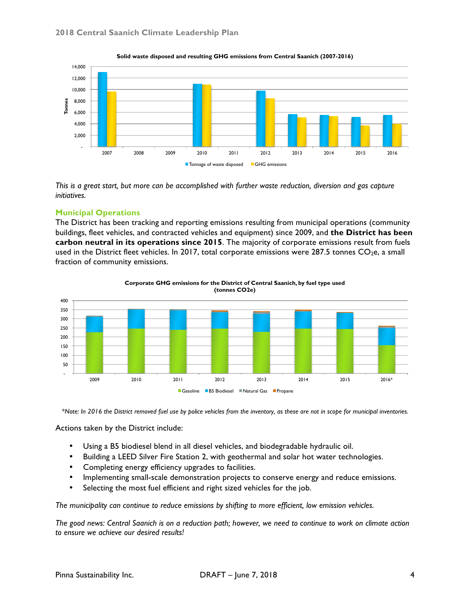

**Solid waste disposed and resulting GHG emissions from Central Saanich (2007-2016)** 

*This is a great start, but more can be accomplished with further waste reduction, diversion and gas capture initiatives.*

#### **Municipal Operations**

The District has been tracking and reporting emissions resulting from municipal operations (community buildings, fleet vehicles, and contracted vehicles and equipment) since 2009, and **the District has been carbon neutral in its operations since 2015**. The majority of corporate emissions result from fuels used in the District fleet vehicles. In 2017, total corporate emissions were 287.5 tonnes  $CO<sub>2</sub>e$ , a small fraction of community emissions.



**Corporate GHG emissions for the District of Central Saanich, by fuel type used** 

*\*Note: In 2016 the District removed fuel use by police vehicles from the inventory, as these are not in scope for municipal inventories.*

Actions taken by the District include:

- Using a B5 biodiesel blend in all diesel vehicles, and biodegradable hydraulic oil.
- Building a LEED Silver Fire Station 2, with geothermal and solar hot water technologies.
- Completing energy efficiency upgrades to facilities.
- Implementing small-scale demonstration projects to conserve energy and reduce emissions.
- Selecting the most fuel efficient and right sized vehicles for the job.

*The municipality can continue to reduce emissions by shifting to more efficient, low emission vehicles.*

*The good news: Central Saanich is on a reduction path; however, we need to continue to work on climate action to ensure we achieve our desired results!*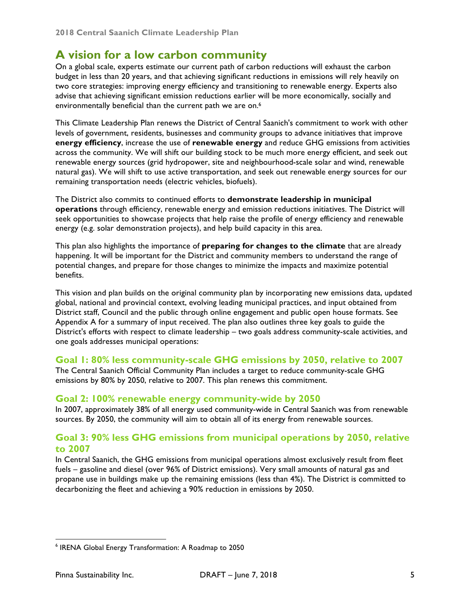# **A vision for a low carbon community**

On a global scale, experts estimate our current path of carbon reductions will exhaust the carbon budget in less than 20 years, and that achieving significant reductions in emissions will rely heavily on two core strategies: improving energy efficiency and transitioning to renewable energy. Experts also advise that achieving significant emission reductions earlier will be more economically, socially and environmentally beneficial than the current path we are on.<sup>6</sup>

This Climate Leadership Plan renews the District of Central Saanich's commitment to work with other levels of government, residents, businesses and community groups to advance initiatives that improve **energy efficiency**, increase the use of **renewable energy** and reduce GHG emissions from activities across the community. We will shift our building stock to be much more energy efficient, and seek out renewable energy sources (grid hydropower, site and neighbourhood-scale solar and wind, renewable natural gas). We will shift to use active transportation, and seek out renewable energy sources for our remaining transportation needs (electric vehicles, biofuels).

The District also commits to continued efforts to **demonstrate leadership in municipal operations** through efficiency, renewable energy and emission reductions initiatives. The District will seek opportunities to showcase projects that help raise the profile of energy efficiency and renewable energy (e.g. solar demonstration projects), and help build capacity in this area.

This plan also highlights the importance of **preparing for changes to the climate** that are already happening. It will be important for the District and community members to understand the range of potential changes, and prepare for those changes to minimize the impacts and maximize potential benefits.

This vision and plan builds on the original community plan by incorporating new emissions data, updated global, national and provincial context, evolving leading municipal practices, and input obtained from District staff, Council and the public through online engagement and public open house formats. See Appendix A for a summary of input received. The plan also outlines three key goals to guide the District's efforts with respect to climate leadership – two goals address community-scale activities, and one goals addresses municipal operations:

### **Goal 1: 80% less community-scale GHG emissions by 2050, relative to 2007**

The Central Saanich Official Community Plan includes a target to reduce community-scale GHG emissions by 80% by 2050, relative to 2007. This plan renews this commitment.

### **Goal 2: 100% renewable energy community-wide by 2050**

In 2007, approximately 38% of all energy used community-wide in Central Saanich was from renewable sources. By 2050, the community will aim to obtain all of its energy from renewable sources.

### **Goal 3: 90% less GHG emissions from municipal operations by 2050, relative to 2007**

In Central Saanich, the GHG emissions from municipal operations almost exclusively result from fleet fuels – gasoline and diesel (over 96% of District emissions). Very small amounts of natural gas and propane use in buildings make up the remaining emissions (less than 4%). The District is committed to decarbonizing the fleet and achieving a 90% reduction in emissions by 2050.

 <sup>6</sup> IRENA Global Energy Transformation: A Roadmap to 2050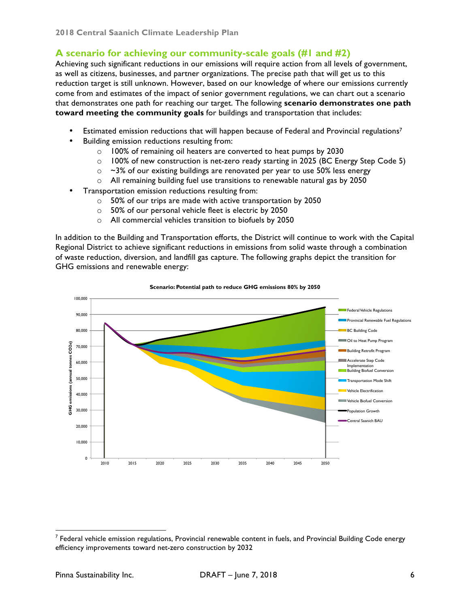# **A scenario for achieving our community-scale goals (#1 and #2)**

Achieving such significant reductions in our emissions will require action from all levels of government, as well as citizens, businesses, and partner organizations. The precise path that will get us to this reduction target is still unknown. However, based on our knowledge of where our emissions currently come from and estimates of the impact of senior government regulations, we can chart out a scenario that demonstrates one path for reaching our target. The following **scenario demonstrates one path toward meeting the community goals** for buildings and transportation that includes:

- Estimated emission reductions that will happen because of Federal and Provincial regulations<sup>7</sup>
- Building emission reductions resulting from:
	- o 100% of remaining oil heaters are converted to heat pumps by 2030
	- o 100% of new construction is net-zero ready starting in 2025 (BC Energy Step Code 5)
	- $\circ$  ~3% of our existing buildings are renovated per year to use 50% less energy
	- o All remaining building fuel use transitions to renewable natural gas by 2050
- Transportation emission reductions resulting from:
	- o 50% of our trips are made with active transportation by 2050
	- o 50% of our personal vehicle fleet is electric by 2050
	- o All commercial vehicles transition to biofuels by 2050

In addition to the Building and Transportation efforts, the District will continue to work with the Capital Regional District to achieve significant reductions in emissions from solid waste through a combination of waste reduction, diversion, and landfill gas capture. The following graphs depict the transition for GHG emissions and renewable energy:



#### **Scenario: Potential path to reduce GHG emissions 80% by 2050**

 $<sup>7</sup>$  Federal vehicle emission regulations, Provincial renewable content in fuels, and Provincial Building Code energy</sup> efficiency improvements toward net-zero construction by 2032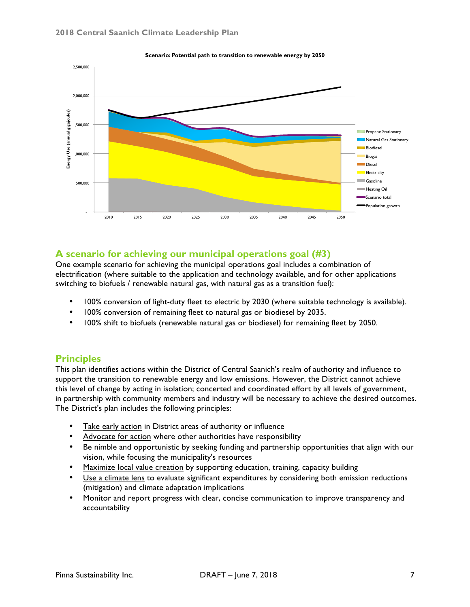

**Scenario: Potential path to transition to renewable energy by 2050** 

### **A scenario for achieving our municipal operations goal (#3)**

One example scenario for achieving the municipal operations goal includes a combination of electrification (where suitable to the application and technology available, and for other applications switching to biofuels / renewable natural gas, with natural gas as a transition fuel):

- 100% conversion of light-duty fleet to electric by 2030 (where suitable technology is available).
- 100% conversion of remaining fleet to natural gas or biodiesel by 2035.
- 100% shift to biofuels (renewable natural gas or biodiesel) for remaining fleet by 2050.

#### **Principles**

This plan identifies actions within the District of Central Saanich's realm of authority and influence to support the transition to renewable energy and low emissions. However, the District cannot achieve this level of change by acting in isolation; concerted and coordinated effort by all levels of government, in partnership with community members and industry will be necessary to achieve the desired outcomes. The District's plan includes the following principles:

- Take early action in District areas of authority or influence
- Advocate for action where other authorities have responsibility
- Be nimble and opportunistic by seeking funding and partnership opportunities that align with our vision, while focusing the municipality's resources
- Maximize local value creation by supporting education, training, capacity building
- Use a climate lens to evaluate significant expenditures by considering both emission reductions (mitigation) and climate adaptation implications
- Monitor and report progress with clear, concise communication to improve transparency and accountability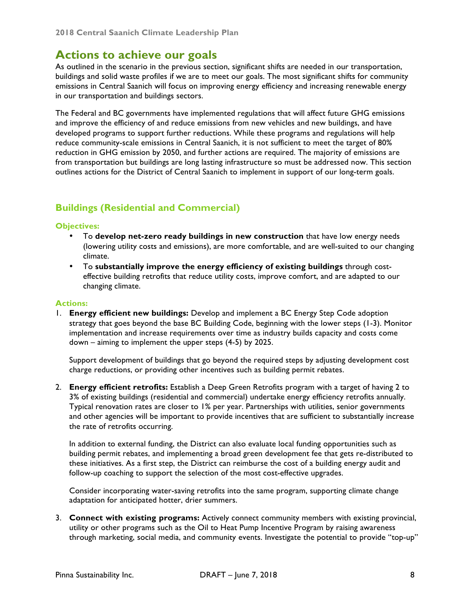# **Actions to achieve our goals**

As outlined in the scenario in the previous section, significant shifts are needed in our transportation, buildings and solid waste profiles if we are to meet our goals. The most significant shifts for community emissions in Central Saanich will focus on improving energy efficiency and increasing renewable energy in our transportation and buildings sectors.

The Federal and BC governments have implemented regulations that will affect future GHG emissions and improve the efficiency of and reduce emissions from new vehicles and new buildings, and have developed programs to support further reductions. While these programs and regulations will help reduce community-scale emissions in Central Saanich, it is not sufficient to meet the target of 80% reduction in GHG emission by 2050, and further actions are required. The majority of emissions are from transportation but buildings are long lasting infrastructure so must be addressed now. This section outlines actions for the District of Central Saanich to implement in support of our long-term goals.

# **Buildings (Residential and Commercial)**

#### **Objectives:**

- To **develop net-zero ready buildings in new construction** that have low energy needs (lowering utility costs and emissions), are more comfortable, and are well-suited to our changing climate.
- To **substantially improve the energy efficiency of existing buildings** through costeffective building retrofits that reduce utility costs, improve comfort, and are adapted to our changing climate.

#### **Actions:**

1. **Energy efficient new buildings:** Develop and implement a BC Energy Step Code adoption strategy that goes beyond the base BC Building Code, beginning with the lower steps (1-3). Monitor implementation and increase requirements over time as industry builds capacity and costs come down – aiming to implement the upper steps (4-5) by 2025.

Support development of buildings that go beyond the required steps by adjusting development cost charge reductions, or providing other incentives such as building permit rebates.

2. **Energy efficient retrofits:** Establish a Deep Green Retrofits program with a target of having 2 to 3% of existing buildings (residential and commercial) undertake energy efficiency retrofits annually. Typical renovation rates are closer to 1% per year. Partnerships with utilities, senior governments and other agencies will be important to provide incentives that are sufficient to substantially increase the rate of retrofits occurring.

In addition to external funding, the District can also evaluate local funding opportunities such as building permit rebates, and implementing a broad green development fee that gets re-distributed to these initiatives. As a first step, the District can reimburse the cost of a building energy audit and follow-up coaching to support the selection of the most cost-effective upgrades.

Consider incorporating water-saving retrofits into the same program, supporting climate change adaptation for anticipated hotter, drier summers.

3. **Connect with existing programs:** Actively connect community members with existing provincial, utility or other programs such as the Oil to Heat Pump Incentive Program by raising awareness through marketing, social media, and community events. Investigate the potential to provide "top-up"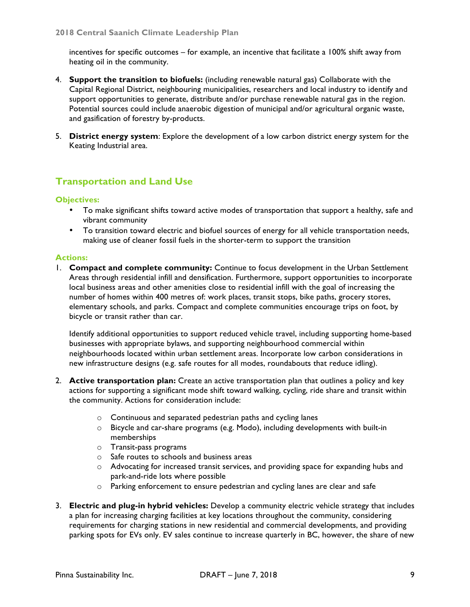incentives for specific outcomes – for example, an incentive that facilitate a 100% shift away from heating oil in the community.

- 4. **Support the transition to biofuels:** (including renewable natural gas) Collaborate with the Capital Regional District, neighbouring municipalities, researchers and local industry to identify and support opportunities to generate, distribute and/or purchase renewable natural gas in the region. Potential sources could include anaerobic digestion of municipal and/or agricultural organic waste, and gasification of forestry by-products.
- 5. **District energy system**: Explore the development of a low carbon district energy system for the Keating Industrial area.

# **Transportation and Land Use**

#### **Objectives:**

- To make significant shifts toward active modes of transportation that support a healthy, safe and vibrant community
- To transition toward electric and biofuel sources of energy for all vehicle transportation needs, making use of cleaner fossil fuels in the shorter-term to support the transition

#### **Actions:**

1. **Compact and complete community:** Continue to focus development in the Urban Settlement Areas through residential infill and densification. Furthermore, support opportunities to incorporate local business areas and other amenities close to residential infill with the goal of increasing the number of homes within 400 metres of: work places, transit stops, bike paths, grocery stores, elementary schools, and parks. Compact and complete communities encourage trips on foot, by bicycle or transit rather than car.

Identify additional opportunities to support reduced vehicle travel, including supporting home-based businesses with appropriate bylaws, and supporting neighbourhood commercial within neighbourhoods located within urban settlement areas. Incorporate low carbon considerations in new infrastructure designs (e.g. safe routes for all modes, roundabouts that reduce idling).

- 2. **Active transportation plan:** Create an active transportation plan that outlines a policy and key actions for supporting a significant mode shift toward walking, cycling, ride share and transit within the community. Actions for consideration include:
	- o Continuous and separated pedestrian paths and cycling lanes
	- o Bicycle and car-share programs (e.g. Modo), including developments with built-in memberships
	- o Transit-pass programs
	- o Safe routes to schools and business areas
	- o Advocating for increased transit services, and providing space for expanding hubs and park-and-ride lots where possible
	- o Parking enforcement to ensure pedestrian and cycling lanes are clear and safe
- 3. **Electric and plug-in hybrid vehicles:** Develop a community electric vehicle strategy that includes a plan for increasing charging facilities at key locations throughout the community, considering requirements for charging stations in new residential and commercial developments, and providing parking spots for EVs only. EV sales continue to increase quarterly in BC, however, the share of new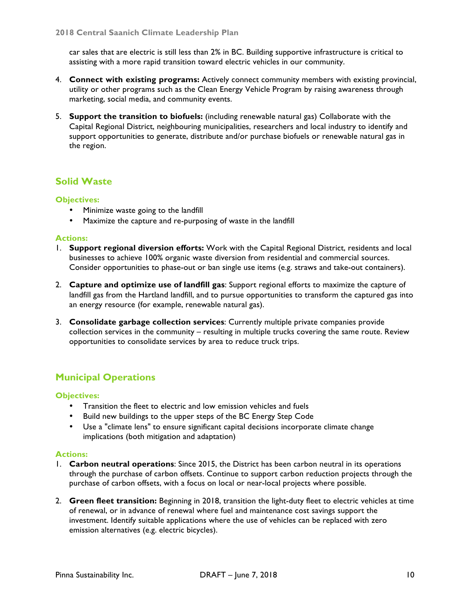car sales that are electric is still less than 2% in BC. Building supportive infrastructure is critical to assisting with a more rapid transition toward electric vehicles in our community.

- 4. **Connect with existing programs:** Actively connect community members with existing provincial, utility or other programs such as the Clean Energy Vehicle Program by raising awareness through marketing, social media, and community events.
- 5. **Support the transition to biofuels:** (including renewable natural gas) Collaborate with the Capital Regional District, neighbouring municipalities, researchers and local industry to identify and support opportunities to generate, distribute and/or purchase biofuels or renewable natural gas in the region.

# **Solid Waste**

#### **Objectives:**

- Minimize waste going to the landfill
- Maximize the capture and re-purposing of waste in the landfill

#### **Actions:**

- 1. **Support regional diversion efforts:** Work with the Capital Regional District, residents and local businesses to achieve 100% organic waste diversion from residential and commercial sources. Consider opportunities to phase-out or ban single use items (e.g. straws and take-out containers).
- 2. **Capture and optimize use of landfill gas**: Support regional efforts to maximize the capture of landfill gas from the Hartland landfill, and to pursue opportunities to transform the captured gas into an energy resource (for example, renewable natural gas).
- 3. **Consolidate garbage collection services**: Currently multiple private companies provide collection services in the community – resulting in multiple trucks covering the same route. Review opportunities to consolidate services by area to reduce truck trips.

# **Municipal Operations**

#### **Objectives:**

- Transition the fleet to electric and low emission vehicles and fuels
- Build new buildings to the upper steps of the BC Energy Step Code
- Use a "climate lens" to ensure significant capital decisions incorporate climate change implications (both mitigation and adaptation)

#### **Actions:**

- 1. **Carbon neutral operations**: Since 2015, the District has been carbon neutral in its operations through the purchase of carbon offsets. Continue to support carbon reduction projects through the purchase of carbon offsets, with a focus on local or near-local projects where possible.
- 2. **Green fleet transition:** Beginning in 2018, transition the light-duty fleet to electric vehicles at time of renewal, or in advance of renewal where fuel and maintenance cost savings support the investment. Identify suitable applications where the use of vehicles can be replaced with zero emission alternatives (e.g. electric bicycles).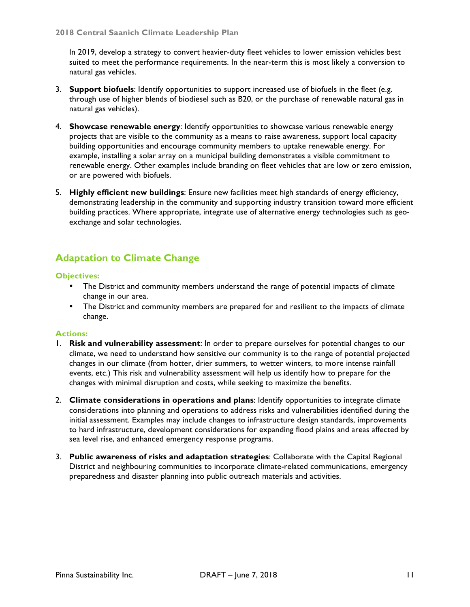In 2019, develop a strategy to convert heavier-duty fleet vehicles to lower emission vehicles best suited to meet the performance requirements. In the near-term this is most likely a conversion to natural gas vehicles.

- 3. **Support biofuels**: Identify opportunities to support increased use of biofuels in the fleet (e.g. through use of higher blends of biodiesel such as B20, or the purchase of renewable natural gas in natural gas vehicles).
- 4. **Showcase renewable energy**: Identify opportunities to showcase various renewable energy projects that are visible to the community as a means to raise awareness, support local capacity building opportunities and encourage community members to uptake renewable energy. For example, installing a solar array on a municipal building demonstrates a visible commitment to renewable energy. Other examples include branding on fleet vehicles that are low or zero emission, or are powered with biofuels.
- 5. **Highly efficient new buildings**: Ensure new facilities meet high standards of energy efficiency, demonstrating leadership in the community and supporting industry transition toward more efficient building practices. Where appropriate, integrate use of alternative energy technologies such as geoexchange and solar technologies.

# **Adaptation to Climate Change**

#### **Objectives:**

- The District and community members understand the range of potential impacts of climate change in our area.
- The District and community members are prepared for and resilient to the impacts of climate change.

#### **Actions:**

- 1. **Risk and vulnerability assessment**: In order to prepare ourselves for potential changes to our climate, we need to understand how sensitive our community is to the range of potential projected changes in our climate (from hotter, drier summers, to wetter winters, to more intense rainfall events, etc.) This risk and vulnerability assessment will help us identify how to prepare for the changes with minimal disruption and costs, while seeking to maximize the benefits.
- 2. **Climate considerations in operations and plans**: Identify opportunities to integrate climate considerations into planning and operations to address risks and vulnerabilities identified during the initial assessment. Examples may include changes to infrastructure design standards, improvements to hard infrastructure, development considerations for expanding flood plains and areas affected by sea level rise, and enhanced emergency response programs.
- 3. **Public awareness of risks and adaptation strategies**: Collaborate with the Capital Regional District and neighbouring communities to incorporate climate-related communications, emergency preparedness and disaster planning into public outreach materials and activities.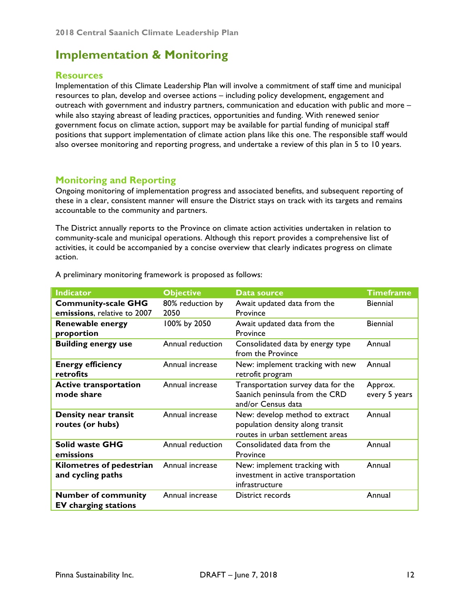# **Implementation & Monitoring**

### **Resources**

Implementation of this Climate Leadership Plan will involve a commitment of staff time and municipal resources to plan, develop and oversee actions – including policy development, engagement and outreach with government and industry partners, communication and education with public and more – while also staying abreast of leading practices, opportunities and funding. With renewed senior government focus on climate action, support may be available for partial funding of municipal staff positions that support implementation of climate action plans like this one. The responsible staff would also oversee monitoring and reporting progress, and undertake a review of this plan in 5 to 10 years.

### **Monitoring and Reporting**

Ongoing monitoring of implementation progress and associated benefits, and subsequent reporting of these in a clear, consistent manner will ensure the District stays on track with its targets and remains accountable to the community and partners.

The District annually reports to the Province on climate action activities undertaken in relation to community-scale and municipal operations. Although this report provides a comprehensive list of activities, it could be accompanied by a concise overview that clearly indicates progress on climate action.

| <b>Indicator</b>                                          | <b>Objective</b>         | Data source                                                                                            | <b>Timeframe</b>         |
|-----------------------------------------------------------|--------------------------|--------------------------------------------------------------------------------------------------------|--------------------------|
| <b>Community-scale GHG</b><br>emissions, relative to 2007 | 80% reduction by<br>2050 | Await updated data from the<br>Province                                                                | <b>Biennial</b>          |
| <b>Renewable energy</b><br>proportion                     | 100% by 2050             | Await updated data from the<br>Province                                                                | <b>Biennial</b>          |
| <b>Building energy use</b>                                | Annual reduction         | Consolidated data by energy type<br>from the Province                                                  | Annual                   |
| <b>Energy efficiency</b><br>retrofits                     | Annual increase          | New: implement tracking with new<br>retrofit program                                                   | Annual                   |
| <b>Active transportation</b><br>mode share                | Annual increase          | Transportation survey data for the<br>Saanich peninsula from the CRD<br>and/or Census data             | Approx.<br>every 5 years |
| Density near transit<br>routes (or hubs)                  | Annual increase          | New: develop method to extract<br>population density along transit<br>routes in urban settlement areas | Annual                   |
| <b>Solid waste GHG</b><br>emissions                       | Annual reduction         | Consolidated data from the<br>Province                                                                 | Annual                   |
| Kilometres of pedestrian<br>and cycling paths             | Annual increase          | New: implement tracking with<br>investment in active transportation<br>infrastructure                  | Annual                   |
| <b>Number of community</b><br><b>EV</b> charging stations | Annual increase          | District records                                                                                       | Annual                   |

A preliminary monitoring framework is proposed as follows: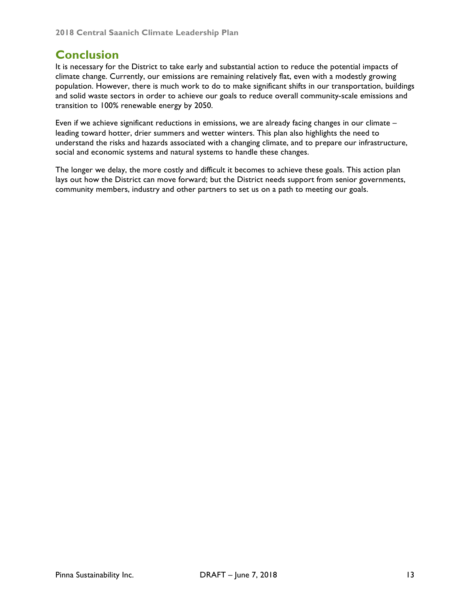# **Conclusion**

It is necessary for the District to take early and substantial action to reduce the potential impacts of climate change. Currently, our emissions are remaining relatively flat, even with a modestly growing population. However, there is much work to do to make significant shifts in our transportation, buildings and solid waste sectors in order to achieve our goals to reduce overall community-scale emissions and transition to 100% renewable energy by 2050.

Even if we achieve significant reductions in emissions, we are already facing changes in our climate – leading toward hotter, drier summers and wetter winters. This plan also highlights the need to understand the risks and hazards associated with a changing climate, and to prepare our infrastructure, social and economic systems and natural systems to handle these changes.

The longer we delay, the more costly and difficult it becomes to achieve these goals. This action plan lays out how the District can move forward; but the District needs support from senior governments, community members, industry and other partners to set us on a path to meeting our goals.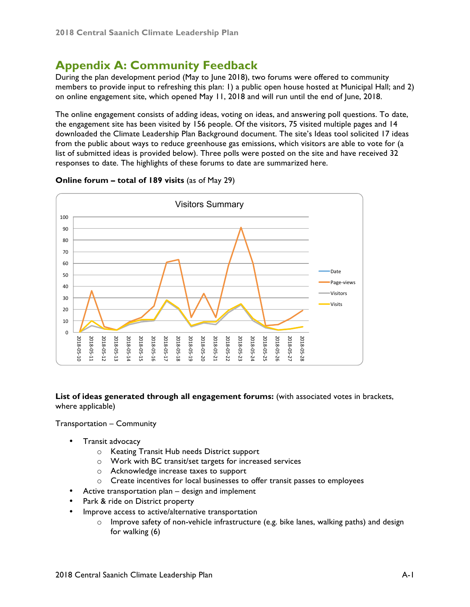# **Appendix A: Community Feedback**

During the plan development period (May to June 2018), two forums were offered to community members to provide input to refreshing this plan: 1) a public open house hosted at Municipal Hall; and 2) on online engagement site, which opened May 11, 2018 and will run until the end of June, 2018.

The online engagement consists of adding ideas, voting on ideas, and answering poll questions. To date, the engagement site has been visited by 156 people. Of the visitors, 75 visited multiple pages and 14 downloaded the Climate Leadership Plan Background document. The site's Ideas tool solicited 17 ideas from the public about ways to reduce greenhouse gas emissions, which visitors are able to vote for (a list of submitted ideas is provided below). Three polls were posted on the site and have received 32 responses to date. The highlights of these forums to date are summarized here.



#### **Online forum – total of 189 visits** (as of May 29)

**List of ideas generated through all engagement forums:** (with associated votes in brackets, where applicable)

Transportation – Community

- Transit advocacy
	- o Keating Transit Hub needs District support
	- o Work with BC transit/set targets for increased services
	- o Acknowledge increase taxes to support
	- o Create incentives for local businesses to offer transit passes to employees
- Active transportation plan design and implement
- Park & ride on District property
- Improve access to active/alternative transportation
	- o Improve safety of non-vehicle infrastructure (e.g. bike lanes, walking paths) and design for walking (6)